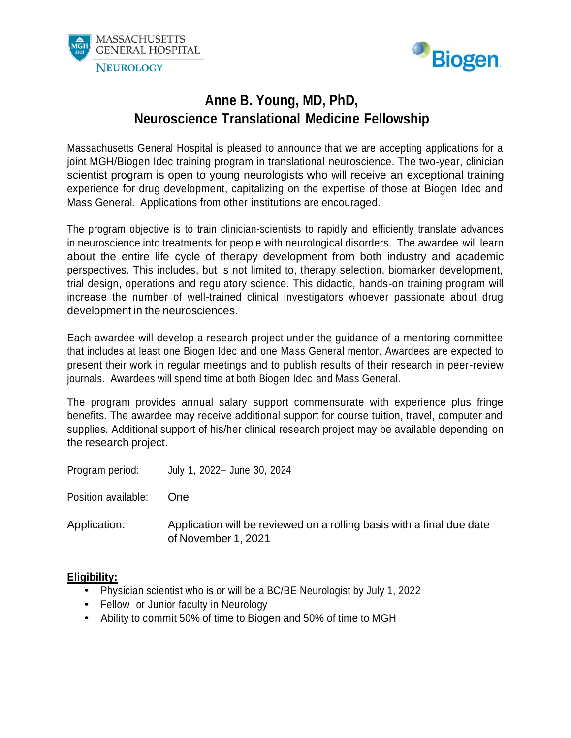



### **Anne B. Young, MD, PhD, Neuroscience Translational Medicine Fellowship**

Massachusetts General Hospital is pleased to announce that we are accepting applications for a joint MGH/Biogen Idec training program in translational neuroscience. The two-year, clinician scientist program is open to young neurologists who will receive an exceptional training experience for drug development, capitalizing on the expertise of those at Biogen Idec and Mass General. Applications from other institutions are encouraged.

The program objective is to train clinician-scientists to rapidly and efficiently translate advances in neuroscience into treatments for people with neurological disorders. The awardee will learn about the entire life cycle of therapy development from both industry and academic perspectives. This includes, but is not limited to, therapy selection, biomarker development, trial design, operations and regulatory science. This didactic, hands-on training program will increase the number of well-trained clinical investigators whoever passionate about drug development in the neurosciences.

Each awardee will develop a research project under the guidance of a mentoring committee that includes at least one Biogen Idec and one Mass General mentor. Awardees are expected to present their work in regular meetings and to publish results of their research in peer-review journals. Awardees will spend time at both Biogen Idec and Mass General.

The program provides annual salary support commensurate with experience plus fringe benefits. The awardee may receive additional support for course tuition, travel, computer and supplies. Additional support of his/her clinical research project may be available depending on the research project.

| Program period:     | July 1, 2022- June 30, 2024                                                                  |
|---------------------|----------------------------------------------------------------------------------------------|
| Position available: | One.                                                                                         |
| Application:        | Application will be reviewed on a rolling basis with a final due date<br>of November 1, 2021 |

#### **Eligibility:**

- Physician scientist who is or will be <sup>a</sup> BC/BE Neurologist by July 1, <sup>2022</sup>
- Fellow or Junior faculty in Neurology
- Ability to commit 50% of time to Biogen and 50% of time to MGH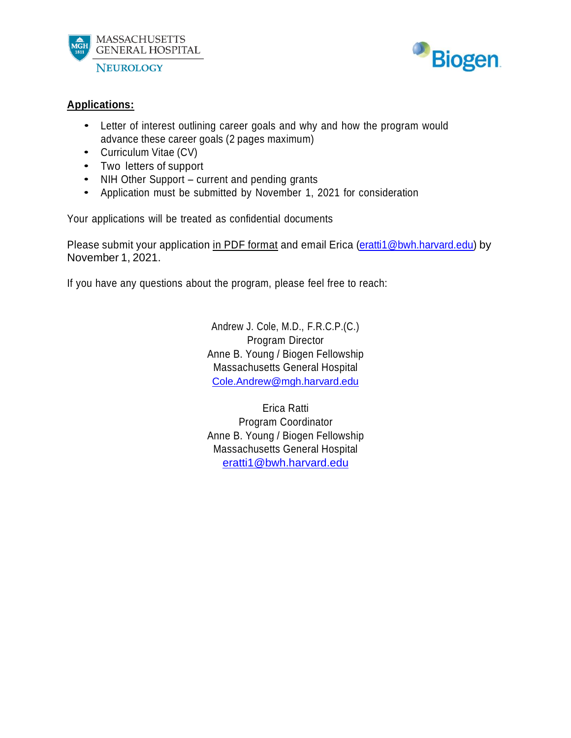



### **Applications:**

- Letter of interest outlining career goals and why and how the program would advance these career goals (2 pages maximum)
- Curriculum Vitae (CV)
- Two letters of support
- NIH Other Support current and pending grants
- Application must be submitted by November 1, <sup>2021</sup> for consideration

Your applications will be treated as confidential documents

Please submit your application in PDF format and email Erica [\(eratti1@bwh.harvard.edu\)](mailto:eratti1@bwh.harvard.edu) by November 1, 2021.

If you have any questions about the program, please feel free to reach:

Andrew J. Cole, M.D., F.R.C.P.(C.) Program Director Anne B. Young / Biogen Fellowship Massachusetts General Hospital [Cole.Andrew@mgh.harvard.edu](mailto:Cole.Andrew@mgh.harvard.edu)

Erica Ratti Program Coordinator Anne B. Young / Biogen Fellowship Massachusetts General Hospital [eratti1@bwh.harvard.edu](mailto:eratti1@bwh.harvard.edu)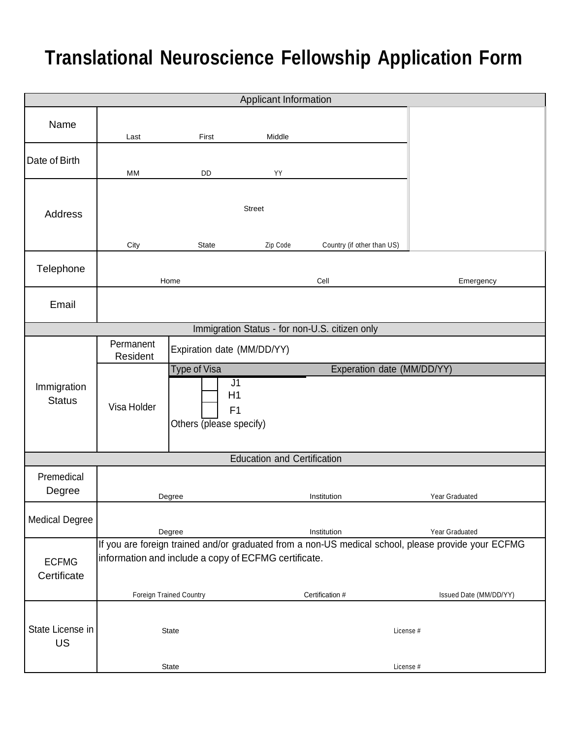# **Translational Neuroscience Fellowship Application Form**

| Applicant Information         |                                                                                                                                                             |                                                                       |                                    |                                                |                        |  |
|-------------------------------|-------------------------------------------------------------------------------------------------------------------------------------------------------------|-----------------------------------------------------------------------|------------------------------------|------------------------------------------------|------------------------|--|
| Name                          | Last                                                                                                                                                        | First                                                                 | Middle                             |                                                |                        |  |
| Date of Birth                 | MM                                                                                                                                                          | DD                                                                    | YY                                 |                                                |                        |  |
| <b>Address</b>                | City                                                                                                                                                        | State                                                                 | <b>Street</b><br>Zip Code          | Country (if other than US)                     |                        |  |
| Telephone                     |                                                                                                                                                             | Home                                                                  |                                    | Cell                                           | Emergency              |  |
| Email                         |                                                                                                                                                             |                                                                       |                                    |                                                |                        |  |
|                               |                                                                                                                                                             |                                                                       |                                    | Immigration Status - for non-U.S. citizen only |                        |  |
| Immigration<br><b>Status</b>  | Permanent<br>Resident                                                                                                                                       | Expiration date (MM/DD/YY)                                            |                                    |                                                |                        |  |
|                               | Visa Holder                                                                                                                                                 | Type of Visa<br>J <sub>1</sub><br>H1<br>F1<br>Others (please specify) |                                    | Experation date (MM/DD/YY)                     |                        |  |
|                               |                                                                                                                                                             |                                                                       | <b>Education and Certification</b> |                                                |                        |  |
| Premedical<br>Degree          |                                                                                                                                                             | Degree                                                                |                                    | Institution                                    | Year Graduated         |  |
| <b>Medical Degree</b>         |                                                                                                                                                             | Degree                                                                |                                    | Institution                                    | Year Graduated         |  |
| <b>ECFMG</b><br>Certificate   | If you are foreign trained and/or graduated from a non-US medical school, please provide your ECFMG<br>information and include a copy of ECFMG certificate. |                                                                       |                                    |                                                |                        |  |
|                               | Foreign Trained Country                                                                                                                                     |                                                                       |                                    | Certification #                                | Issued Date (MM/DD/YY) |  |
| State License in<br><b>US</b> |                                                                                                                                                             | State                                                                 |                                    | License #                                      |                        |  |
|                               | <b>State</b>                                                                                                                                                |                                                                       |                                    | License #                                      |                        |  |